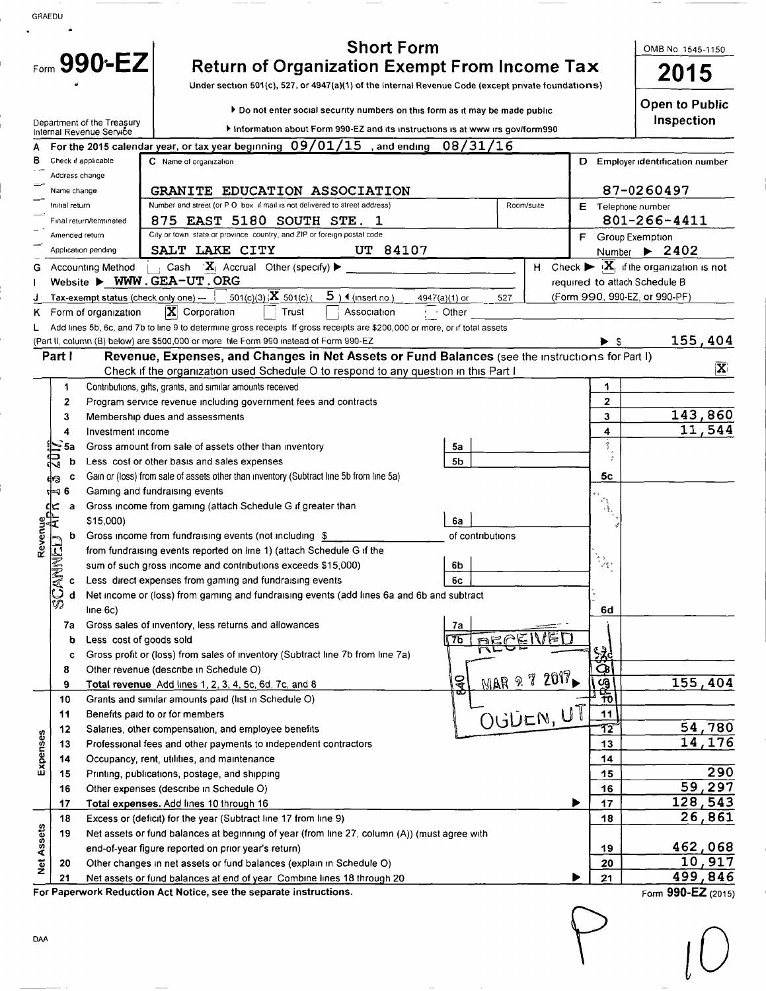| GRAEDU            |                               |                                                                                                    |                                                                                                                                                      |                                     |                                                  |                                                                          |  |  |  |
|-------------------|-------------------------------|----------------------------------------------------------------------------------------------------|------------------------------------------------------------------------------------------------------------------------------------------------------|-------------------------------------|--------------------------------------------------|--------------------------------------------------------------------------|--|--|--|
|                   |                               |                                                                                                    | <b>Short Form</b>                                                                                                                                    |                                     |                                                  | OMB No 1545-1150                                                         |  |  |  |
|                   | Form 990-EZ                   | <b>Return of Organization Exempt From Income Tax</b>                                               | 2015                                                                                                                                                 |                                     |                                                  |                                                                          |  |  |  |
|                   |                               | Under section 501(c), 527, or 4947(a)(1) of the Internal Revenue Code (except private foundations) |                                                                                                                                                      |                                     |                                                  |                                                                          |  |  |  |
|                   |                               |                                                                                                    |                                                                                                                                                      | <b>Open to Public</b><br>Inspection |                                                  |                                                                          |  |  |  |
|                   |                               | Department of the Treasury<br>Internal Revenue Service                                             | Information about Form 990-EZ and its instructions is at www irs gov/form990                                                                         |                                     |                                                  |                                                                          |  |  |  |
|                   |                               |                                                                                                    | For the 2015 calendar year, or tax year beginning $09/01/15$ , and ending<br>08/31/16                                                                |                                     |                                                  |                                                                          |  |  |  |
| в                 |                               | Check if applicable                                                                                | C Name of organization                                                                                                                               |                                     |                                                  | D Employer identification number                                         |  |  |  |
|                   | Address change<br>Name change |                                                                                                    | 87-0260497                                                                                                                                           |                                     |                                                  |                                                                          |  |  |  |
|                   | Initial return                |                                                                                                    | GRANITE EDUCATION ASSOCIATION<br>Number and street (or P O box if mail is not delivered to street address)                                           | Room/suite                          |                                                  | E Telephone number                                                       |  |  |  |
|                   |                               | Final return/terminated                                                                            | 875 EAST 5180 SOUTH STE. 1                                                                                                                           |                                     |                                                  | 801-266-4411                                                             |  |  |  |
|                   | Amended return                |                                                                                                    | City or town, state or province country, and ZIP or foreign postal code                                                                              |                                     |                                                  | F Group Exemption                                                        |  |  |  |
|                   |                               | Application pending                                                                                | SALT LAKE CITY<br>UT 84107                                                                                                                           |                                     |                                                  | Number $\triangleright$ 2402                                             |  |  |  |
| G                 |                               | <b>Accounting Method</b>                                                                           | $\mathbf{X}_1$ Accrual Other (specify)<br>Cash                                                                                                       | н                                   |                                                  | Check $\blacktriangleright \; [\mathbf{X}_1]$ if the organization is not |  |  |  |
|                   |                               |                                                                                                    | Website > WWW.GEA-UT.ORG                                                                                                                             |                                     | required to attach Schedule B                    |                                                                          |  |  |  |
|                   |                               | Tax-exempt status (check only one) --<br>Form of organization                                      | 501(c)(3) $ \overline{X} $ 501(c)(<br>$5$ ) $4$ (insert no)<br>527<br>4947(a)(1) or<br>$ \mathbf{X} $ Corporation<br>Trust<br>Association<br>· Other |                                     |                                                  | (Form 990, 990-EZ, or 990-PF)                                            |  |  |  |
| κ.                |                               |                                                                                                    | Add lines 5b, 6c, and 7b to line 9 to determine gross receipts If gross receipts are \$200,000 or more, or if total assets                           |                                     |                                                  |                                                                          |  |  |  |
|                   |                               |                                                                                                    | (Part II, column (B) below) are \$500,000 or more file Form 990 instead of Form 990-EZ                                                               |                                     |                                                  | 155,404                                                                  |  |  |  |
|                   | Part I                        |                                                                                                    | Revenue, Expenses, and Changes in Net Assets or Fund Balances (see the instructions for Part I)                                                      |                                     |                                                  |                                                                          |  |  |  |
|                   |                               |                                                                                                    | Check if the organization used Schedule O to respond to any question in this Part I                                                                  |                                     |                                                  | $ \mathbf{X} $                                                           |  |  |  |
|                   | 1                             |                                                                                                    | Contributions, gifts, grants, and similar amounts received                                                                                           |                                     | 1.                                               |                                                                          |  |  |  |
|                   | 2                             |                                                                                                    | Program service revenue including government fees and contracts                                                                                      |                                     | 2                                                |                                                                          |  |  |  |
|                   | 3<br>4                        | Investment income                                                                                  | Membership dues and assessments                                                                                                                      |                                     | 3<br>4                                           | 143,860<br>11,544                                                        |  |  |  |
|                   | 5a                            |                                                                                                    | Gross amount from sale of assets other than inventory<br>5a                                                                                          |                                     | $\frac{1}{2}$                                    |                                                                          |  |  |  |
|                   | b                             |                                                                                                    | Less cost or other basis and sales expenses<br>5b                                                                                                    |                                     |                                                  |                                                                          |  |  |  |
|                   | C                             |                                                                                                    | Gain or (loss) from sale of assets other than inventory (Subtract line 5b from line 5a)                                                              |                                     | 5с                                               |                                                                          |  |  |  |
|                   | 6<br>เ⊨า                      |                                                                                                    | Gaming and fundraising events                                                                                                                        |                                     |                                                  |                                                                          |  |  |  |
|                   | ⊈<br>⊡<br>a                   |                                                                                                    | Gross income from gaming (attach Schedule G if greater than                                                                                          |                                     | $\mathcal{E}^{\mathcal{P}}$<br>$\{\frac{k}{3}\}$ |                                                                          |  |  |  |
|                   | 岀                             | \$15,000)                                                                                          | 6a                                                                                                                                                   |                                     |                                                  |                                                                          |  |  |  |
| Revenue           | b                             |                                                                                                    | Gross income from fundraising events (not including \$<br>of contributions                                                                           |                                     |                                                  |                                                                          |  |  |  |
|                   | UED                           |                                                                                                    | from fundraising events reported on line 1) (attach Schedule G if the<br>sum of such gross income and contributions exceeds \$15,000)<br>6b          |                                     | $\mathcal{O}_{\mathbb{Q}_2^d}$                   |                                                                          |  |  |  |
|                   | 人气<br>c                       |                                                                                                    | Less direct expenses from gaming and fundraising events<br>6c                                                                                        |                                     |                                                  |                                                                          |  |  |  |
|                   | d                             |                                                                                                    | Net income or (loss) from gaming and fundraising events (add lines 6a and 6b and subtract                                                            |                                     |                                                  |                                                                          |  |  |  |
|                   | v)                            | line 6c)                                                                                           |                                                                                                                                                      |                                     | 6d                                               |                                                                          |  |  |  |
|                   | 7а                            |                                                                                                    | Gross sales of inventory, less returns and allowances<br>7a                                                                                          |                                     |                                                  |                                                                          |  |  |  |
|                   | b                             | Less cost of goods sold                                                                            | <b>DEPE</b><br>76                                                                                                                                    | ⊫                                   |                                                  |                                                                          |  |  |  |
|                   | c                             |                                                                                                    | Gross profit or (loss) from sales of inventory (Subtract line 7b from line 7a)                                                                       |                                     | <u>સ્ત્રે</u>                                    |                                                                          |  |  |  |
|                   | 8<br>9                        |                                                                                                    | Other revenue (describe in Schedule O)<br><b>SP</b><br>Total revenue Add lines 1, 2, 3, 4, 5c, 6d, 7c, and 8                                         | MAR 9 7 2017                        | <u>රූ</u>                                        | 155,404                                                                  |  |  |  |
|                   | 10                            |                                                                                                    | Grants and similar amounts paid (list in Schedule O)                                                                                                 |                                     | <b>SABLE</b>                                     |                                                                          |  |  |  |
|                   | 11                            |                                                                                                    | Benefits paid to or for members                                                                                                                      | OUDEN, UT                           | 11                                               |                                                                          |  |  |  |
|                   | 12                            |                                                                                                    | Salaries, other compensation, and employee benefits                                                                                                  |                                     | 12                                               | 54,780                                                                   |  |  |  |
| Expenses          | 13                            |                                                                                                    | Professional fees and other payments to independent contractors                                                                                      |                                     | 13                                               | 14,176                                                                   |  |  |  |
|                   | 14                            |                                                                                                    | Occupancy, rent, utilities, and maintenance                                                                                                          |                                     | 14                                               |                                                                          |  |  |  |
|                   | 15                            |                                                                                                    | Printing, publications, postage, and shipping                                                                                                        |                                     | 15                                               | 290                                                                      |  |  |  |
|                   | 16                            |                                                                                                    | Other expenses (describe in Schedule O)                                                                                                              |                                     | 16                                               | 59,297                                                                   |  |  |  |
|                   | 17<br>18                      |                                                                                                    | Total expenses. Add lines 10 through 16<br>Excess or (deficit) for the year (Subtract line 17 from line 9)                                           |                                     | 17<br>18                                         | 128, 543<br>26,861                                                       |  |  |  |
|                   | 19                            |                                                                                                    | Net assets or fund balances at beginning of year (from line 27, column (A)) (must agree with                                                         |                                     |                                                  |                                                                          |  |  |  |
|                   |                               |                                                                                                    | end-of-year figure reported on prior year's return)                                                                                                  |                                     | 19                                               | 462,068                                                                  |  |  |  |
| <b>Net Assets</b> | 20                            |                                                                                                    | Other changes in net assets or fund balances (explain in Schedule O)                                                                                 |                                     | 20                                               | 10,917                                                                   |  |  |  |
|                   | 21                            | Net assets or fund balances at end of year Combine lines 18 through 20                             | 21                                                                                                                                                   | 499,846                             |                                                  |                                                                          |  |  |  |
|                   |                               |                                                                                                    | For Paperwork Reduction Act Notice, see the separate instructions.                                                                                   |                                     |                                                  | Form 990-EZ (2015)                                                       |  |  |  |

Form 990-EZ (2015)

 $\bigcap$ 

A.

 $\bigcup$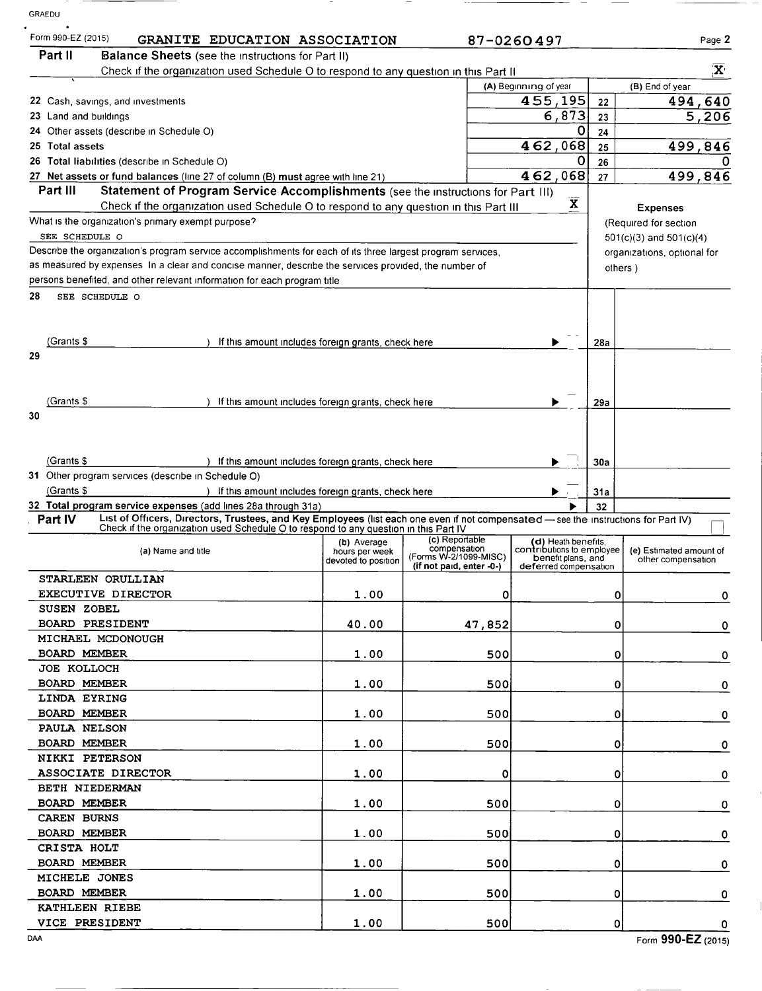| GRAEDU                             |                                                                                                                                                                                                      |                               |                                                   |                                                  |              |                                                      |  |
|------------------------------------|------------------------------------------------------------------------------------------------------------------------------------------------------------------------------------------------------|-------------------------------|---------------------------------------------------|--------------------------------------------------|--------------|------------------------------------------------------|--|
| Form 990-EZ (2015)                 | GRANITE EDUCATION ASSOCIATION                                                                                                                                                                        |                               |                                                   | 87-0260497                                       |              | Page 2                                               |  |
| Part II                            | <b>Balance Sheets</b> (see the instructions for Part II)                                                                                                                                             |                               |                                                   |                                                  |              |                                                      |  |
|                                    | Check if the organization used Schedule O to respond to any question in this Part II                                                                                                                 |                               |                                                   |                                                  |              | $\overline{\mathbf{X}}$                              |  |
|                                    |                                                                                                                                                                                                      |                               |                                                   | (A) Beginning of year                            |              | (B) End of year                                      |  |
|                                    | 22 Cash, savings, and investments                                                                                                                                                                    |                               |                                                   | $\overline{4}$ 55, 195                           | 22           | 494,640                                              |  |
| 23 Land and buildings              |                                                                                                                                                                                                      |                               |                                                   | 6,873                                            | 23           | 5,206                                                |  |
|                                    | 24 Other assets (describe in Schedule O)                                                                                                                                                             |                               |                                                   | 0                                                | 24           |                                                      |  |
| 25 Total assets                    |                                                                                                                                                                                                      |                               |                                                   | 462,068                                          | 25           | 499,846                                              |  |
|                                    | 26 Total liabilities (describe in Schedule O)                                                                                                                                                        |                               |                                                   | O                                                | 26           |                                                      |  |
| Part III                           | 27 Net assets or fund balances (line 27 of column (B) must agree with line 21)                                                                                                                       |                               |                                                   | 462,068                                          | 27           | 499,846                                              |  |
|                                    | Statement of Program Service Accomplishments (see the instructions for Part III)<br>Check if the organization used Schedule O to respond to any question in this Part III                            |                               |                                                   | $\overline{\mathbf{X}}$                          |              |                                                      |  |
|                                    | What is the organization's primary exempt purpose?                                                                                                                                                   |                               |                                                   |                                                  |              | <b>Expenses</b>                                      |  |
| SEE SCHEDULE O                     |                                                                                                                                                                                                      |                               |                                                   |                                                  |              | (Required for section<br>$501(c)(3)$ and $501(c)(4)$ |  |
|                                    | Describe the organization's program service accomplishments for each of its three largest program services,                                                                                          |                               |                                                   |                                                  |              | organizations, optional for                          |  |
|                                    | as measured by expenses In a clear and concise manner, describe the services provided, the number of                                                                                                 |                               |                                                   |                                                  | others)      |                                                      |  |
|                                    | persons benefited, and other relevant information for each program title                                                                                                                             |                               |                                                   |                                                  |              |                                                      |  |
| 28                                 | SEE SCHEDULE O                                                                                                                                                                                       |                               |                                                   |                                                  |              |                                                      |  |
|                                    |                                                                                                                                                                                                      |                               |                                                   |                                                  |              |                                                      |  |
|                                    |                                                                                                                                                                                                      |                               |                                                   |                                                  |              |                                                      |  |
| (Grants \$                         | If this amount includes foreign grants, check here                                                                                                                                                   |                               |                                                   |                                                  | 28a          |                                                      |  |
| 29                                 |                                                                                                                                                                                                      |                               |                                                   |                                                  |              |                                                      |  |
|                                    |                                                                                                                                                                                                      |                               |                                                   |                                                  |              |                                                      |  |
|                                    |                                                                                                                                                                                                      |                               |                                                   |                                                  |              |                                                      |  |
| (Grants \$                         | If this amount includes foreign grants, check here                                                                                                                                                   |                               |                                                   |                                                  | 29a          |                                                      |  |
| 30                                 |                                                                                                                                                                                                      |                               |                                                   |                                                  |              |                                                      |  |
|                                    |                                                                                                                                                                                                      |                               |                                                   |                                                  |              |                                                      |  |
|                                    |                                                                                                                                                                                                      |                               |                                                   |                                                  |              |                                                      |  |
| (Grants \$                         | If this amount includes foreign grants, check here                                                                                                                                                   |                               |                                                   |                                                  | 30a          |                                                      |  |
|                                    | 31 Other program services (describe in Schedule O)                                                                                                                                                   |                               |                                                   |                                                  |              |                                                      |  |
| (Grants \$                         | ) If this amount includes foreign grants, check here                                                                                                                                                 |                               |                                                   |                                                  | 31a          |                                                      |  |
| Part IV                            | 32 Total program service expenses (add lines 28a through 31a)<br>List of Officers, Directors, Trustees, and Key Employees (list each one even if not compensated - see the instructions for Part IV) |                               |                                                   |                                                  | 32           |                                                      |  |
|                                    | Check if the organization used Schedule O to respond to any question in this Part IV                                                                                                                 |                               |                                                   |                                                  |              |                                                      |  |
|                                    | (a) Name and title                                                                                                                                                                                   | (b) Average<br>hours per week | (c) Reportable<br>compensation                    | (d) Heath benefits,<br>contributions to employee |              | (e) Estimated amount of                              |  |
|                                    |                                                                                                                                                                                                      | devoted to position           | (Forms W-2/1099-MISC)<br>(if not paid, enter -0-) | benefit plans, and<br>deferred compensation      |              | other compensation                                   |  |
|                                    | STARLEEN ORULLIAN                                                                                                                                                                                    |                               |                                                   |                                                  |              |                                                      |  |
|                                    | <b>EXECUTIVE DIRECTOR</b>                                                                                                                                                                            | 1.00                          | 0                                                 |                                                  |              | 0<br>0                                               |  |
| SUSEN ZOBEL                        |                                                                                                                                                                                                      |                               |                                                   |                                                  |              |                                                      |  |
|                                    | <b>BOARD PRESIDENT</b>                                                                                                                                                                               | 40.00                         | 47,852                                            |                                                  |              | 0<br>0                                               |  |
|                                    | MICHAEL MCDONOUGH                                                                                                                                                                                    |                               |                                                   |                                                  |              |                                                      |  |
| <b>BOARD MEMBER</b>                |                                                                                                                                                                                                      | 1.00                          | 500                                               |                                                  |              | 0<br>0                                               |  |
| JOE KOLLOCH                        |                                                                                                                                                                                                      |                               |                                                   |                                                  |              |                                                      |  |
| <b>BOARD MEMBER</b>                |                                                                                                                                                                                                      | 1.00                          | 500                                               |                                                  |              | 0<br>$\mathbf 0$                                     |  |
| LINDA EYRING                       |                                                                                                                                                                                                      |                               |                                                   |                                                  |              |                                                      |  |
| <b>BOARD MEMBER</b>                |                                                                                                                                                                                                      | 1.00                          | 500                                               |                                                  |              | $\Omega$<br>$\mathbf 0$                              |  |
| PAULA NELSON                       |                                                                                                                                                                                                      |                               |                                                   |                                                  |              |                                                      |  |
| <b>BOARD MEMBER</b>                |                                                                                                                                                                                                      | 1.00                          | 500                                               |                                                  |              | 0<br>0                                               |  |
| NIKKI PETERSON                     |                                                                                                                                                                                                      |                               |                                                   |                                                  |              |                                                      |  |
|                                    | ASSOCIATE DIRECTOR                                                                                                                                                                                   | 1.00                          | 0                                                 |                                                  | 0            | 0                                                    |  |
| BETH NIEDERMAN                     |                                                                                                                                                                                                      |                               |                                                   |                                                  |              |                                                      |  |
| <b>BOARD MEMBER</b><br>CAREN BURNS |                                                                                                                                                                                                      | 1.00                          | 500                                               |                                                  | 0            | 0                                                    |  |
| <b>BOARD MEMBER</b>                |                                                                                                                                                                                                      | 1.00                          | 500                                               |                                                  | $\mathbf{0}$ |                                                      |  |
| CRISTA HOLT                        |                                                                                                                                                                                                      |                               |                                                   |                                                  |              | 0                                                    |  |
| <b>BOARD MEMBER</b>                |                                                                                                                                                                                                      | 1.00                          | 500                                               |                                                  | $\Omega$     |                                                      |  |
| MICHELE JONES                      |                                                                                                                                                                                                      |                               |                                                   |                                                  |              | $\mathbf 0$                                          |  |
| <b>BOARD MEMBER</b>                |                                                                                                                                                                                                      | 1.00                          | 500                                               |                                                  | 0            | 0                                                    |  |
| KATHLEEN RIEBE                     |                                                                                                                                                                                                      |                               |                                                   |                                                  |              |                                                      |  |
| VICE PRESIDENT                     |                                                                                                                                                                                                      | 1.00                          | 500                                               |                                                  | $\Omega$     | 0                                                    |  |
| DAA                                |                                                                                                                                                                                                      |                               |                                                   |                                                  |              | Form 990-EZ (2015)                                   |  |
|                                    |                                                                                                                                                                                                      |                               |                                                   |                                                  |              |                                                      |  |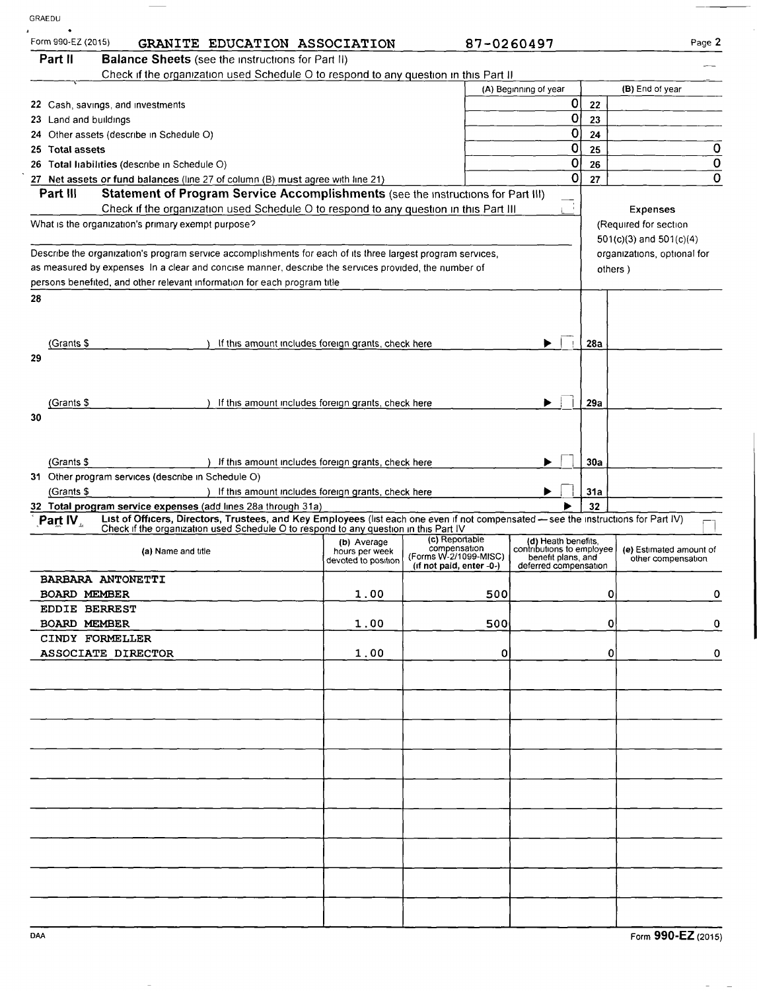| GRAEDU                                   |                                                                                                                                                                                                                             |                                       |                                       |                                                 |     |                                               |
|------------------------------------------|-----------------------------------------------------------------------------------------------------------------------------------------------------------------------------------------------------------------------------|---------------------------------------|---------------------------------------|-------------------------------------------------|-----|-----------------------------------------------|
| Form 990-EZ (2015)                       | GRANITE EDUCATION ASSOCIATION                                                                                                                                                                                               |                                       | 87-0260497                            |                                                 |     | Page 2                                        |
| Part II                                  | <b>Balance Sheets</b> (see the instructions for Part II)                                                                                                                                                                    |                                       |                                       |                                                 |     |                                               |
|                                          | Check if the organization used Schedule O to respond to any question in this Part II                                                                                                                                        |                                       |                                       |                                                 |     |                                               |
|                                          | 22 Cash, savings, and investments                                                                                                                                                                                           |                                       |                                       | (A) Beginning of year<br>0                      | 22  | (B) End of year                               |
| 23 Land and buildings                    |                                                                                                                                                                                                                             |                                       |                                       | 0                                               | 23  |                                               |
| 24 Other assets (describe in Schedule O) |                                                                                                                                                                                                                             |                                       |                                       |                                                 | 24  |                                               |
| 25 Total assets                          |                                                                                                                                                                                                                             |                                       |                                       | 0                                               | 25  | $\mathbf 0$                                   |
|                                          | 26 Total Inabilities (describe in Schedule O)                                                                                                                                                                               |                                       |                                       | 0                                               | 26  | $\bf{0}$                                      |
| Part III                                 | 27 Net assets or fund balances (line 27 of column (B) must agree with line 21)<br>Statement of Program Service Accomplishments (see the instructions for Part III)                                                          |                                       |                                       | 0                                               | 27  | $\mathbf 0$                                   |
|                                          | Check if the organization used Schedule O to respond to any question in this Part III                                                                                                                                       |                                       |                                       |                                                 |     | <b>Expenses</b>                               |
|                                          | What is the organization's primary exempt purpose?                                                                                                                                                                          |                                       |                                       |                                                 |     | (Required for section                         |
|                                          |                                                                                                                                                                                                                             |                                       |                                       |                                                 |     | $501(c)(3)$ and $501(c)(4)$                   |
|                                          | Describe the organization's program service accomplishments for each of its three largest program services,                                                                                                                 |                                       |                                       |                                                 |     | organizations, optional for                   |
|                                          | as measured by expenses In a clear and concise manner, describe the services provided, the number of                                                                                                                        |                                       |                                       |                                                 |     | others )                                      |
|                                          | persons benefited, and other relevant information for each program title                                                                                                                                                    |                                       |                                       |                                                 |     |                                               |
| 28                                       |                                                                                                                                                                                                                             |                                       |                                       |                                                 |     |                                               |
|                                          |                                                                                                                                                                                                                             |                                       |                                       |                                                 |     |                                               |
| (Grants \$                               | If this amount includes foreign grants, check here                                                                                                                                                                          |                                       |                                       |                                                 | 28a |                                               |
| 29                                       |                                                                                                                                                                                                                             |                                       |                                       |                                                 |     |                                               |
|                                          |                                                                                                                                                                                                                             |                                       |                                       |                                                 |     |                                               |
|                                          |                                                                                                                                                                                                                             |                                       |                                       |                                                 |     |                                               |
| (Grants \$                               | If this amount includes foreign grants, check here                                                                                                                                                                          |                                       |                                       |                                                 | 29a |                                               |
| 30                                       |                                                                                                                                                                                                                             |                                       |                                       |                                                 |     |                                               |
|                                          |                                                                                                                                                                                                                             |                                       |                                       |                                                 |     |                                               |
|                                          |                                                                                                                                                                                                                             |                                       |                                       |                                                 | 30a |                                               |
| (Grants \$                               | ) If this amount includes foreign grants, check here<br>31 Other program services (describe in Schedule O)                                                                                                                  |                                       |                                       |                                                 |     |                                               |
| (Grants \$                               | ) If this amount includes foreign grants, check here                                                                                                                                                                        |                                       |                                       |                                                 | 31a |                                               |
|                                          | 32 Total program service expenses (add lines 28a through 31a)                                                                                                                                                               |                                       |                                       |                                                 | 32  |                                               |
| Part IV.                                 | List of Officers, Directors, Trustees, and Key Employees (list each one even if not compensated - see the instructions for Part IV)<br>Check if the organization used Schedule O to respond to any question in this Part IV |                                       |                                       |                                                 |     |                                               |
|                                          |                                                                                                                                                                                                                             | (b) Average                           | (c) Reportable                        | (d) Heath benefits,                             |     |                                               |
|                                          | (a) Name and title                                                                                                                                                                                                          | hours per week<br>devoted to position | compensation<br>(Forms W-2/1099-MISC) | contributions to employee<br>benefit plans, and |     | (e) Estimated amount of<br>other compensation |
|                                          | BARBARA ANTONETTI                                                                                                                                                                                                           |                                       | (if not paid, enter -0-)              | deferred compensation                           |     |                                               |
| <b>BOARD MEMBER</b>                      |                                                                                                                                                                                                                             | 1.00                                  | 500                                   |                                                 |     | 0<br>0                                        |
|                                          | <b>EDDIE BERREST</b>                                                                                                                                                                                                        |                                       |                                       |                                                 |     |                                               |
| <b>BOARD MEMBER</b>                      |                                                                                                                                                                                                                             | 1.00                                  | 500                                   |                                                 |     | 0<br>0                                        |
|                                          | CINDY FORMELLER                                                                                                                                                                                                             |                                       |                                       |                                                 |     |                                               |
|                                          | ASSOCIATE DIRECTOR                                                                                                                                                                                                          | 1.00                                  | 0                                     |                                                 |     | 0<br>0                                        |
|                                          |                                                                                                                                                                                                                             |                                       |                                       |                                                 |     |                                               |
|                                          |                                                                                                                                                                                                                             |                                       |                                       |                                                 |     |                                               |
|                                          |                                                                                                                                                                                                                             |                                       |                                       |                                                 |     |                                               |
|                                          |                                                                                                                                                                                                                             |                                       |                                       |                                                 |     |                                               |
|                                          |                                                                                                                                                                                                                             |                                       |                                       |                                                 |     |                                               |
|                                          |                                                                                                                                                                                                                             |                                       |                                       |                                                 |     |                                               |
|                                          |                                                                                                                                                                                                                             |                                       |                                       |                                                 |     |                                               |
|                                          |                                                                                                                                                                                                                             |                                       |                                       |                                                 |     |                                               |
|                                          |                                                                                                                                                                                                                             |                                       |                                       |                                                 |     |                                               |
|                                          |                                                                                                                                                                                                                             |                                       |                                       |                                                 |     |                                               |
|                                          |                                                                                                                                                                                                                             |                                       |                                       |                                                 |     |                                               |
|                                          |                                                                                                                                                                                                                             |                                       |                                       |                                                 |     |                                               |
|                                          |                                                                                                                                                                                                                             |                                       |                                       |                                                 |     |                                               |
|                                          |                                                                                                                                                                                                                             |                                       |                                       |                                                 |     |                                               |
|                                          |                                                                                                                                                                                                                             |                                       |                                       |                                                 |     |                                               |
| DAA                                      |                                                                                                                                                                                                                             |                                       |                                       |                                                 |     | Form 990-EZ (2015)                            |
|                                          |                                                                                                                                                                                                                             |                                       |                                       |                                                 |     |                                               |

 $\overline{\phantom{0}}$ 

 $\overline{a}$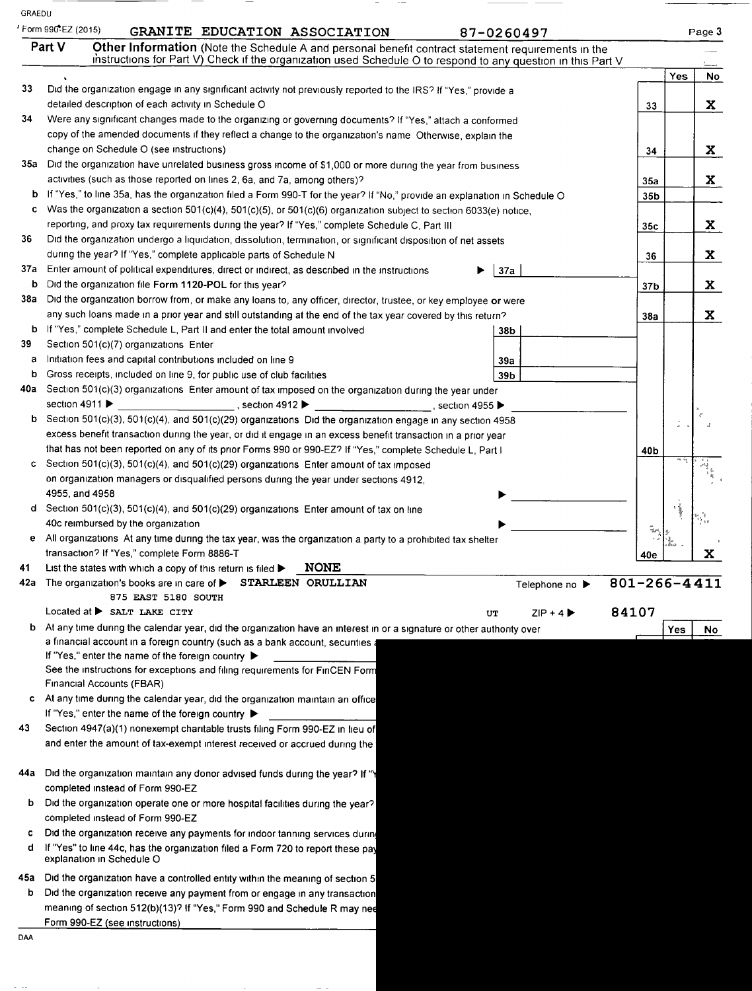|                                                                                                                                                                                                                    |        | Page 3 |
|--------------------------------------------------------------------------------------------------------------------------------------------------------------------------------------------------------------------|--------|--------|
| Other Information (Note the Schedule A and personal benefit contract statement requirements in the<br>instructions for Part V) Check if the organization used Schedule O to respond to any question in this Part V |        |        |
|                                                                                                                                                                                                                    | Yes    | No     |
|                                                                                                                                                                                                                    |        |        |
| 33                                                                                                                                                                                                                 |        | X.     |
|                                                                                                                                                                                                                    |        |        |
|                                                                                                                                                                                                                    |        |        |
| 34                                                                                                                                                                                                                 |        | X      |
|                                                                                                                                                                                                                    |        |        |
| 35a                                                                                                                                                                                                                |        | X      |
| 35b                                                                                                                                                                                                                |        |        |
|                                                                                                                                                                                                                    |        |        |
| 35c                                                                                                                                                                                                                |        | X      |
|                                                                                                                                                                                                                    |        |        |
| 36                                                                                                                                                                                                                 |        | X      |
|                                                                                                                                                                                                                    |        |        |
| 37 <sub>b</sub>                                                                                                                                                                                                    |        | X      |
| 38a                                                                                                                                                                                                                |        | X      |
|                                                                                                                                                                                                                    |        |        |
|                                                                                                                                                                                                                    |        |        |
|                                                                                                                                                                                                                    |        |        |
|                                                                                                                                                                                                                    |        |        |
|                                                                                                                                                                                                                    |        |        |
|                                                                                                                                                                                                                    |        |        |
|                                                                                                                                                                                                                    |        |        |
|                                                                                                                                                                                                                    |        |        |
| 40b                                                                                                                                                                                                                |        |        |
|                                                                                                                                                                                                                    |        |        |
|                                                                                                                                                                                                                    |        |        |
|                                                                                                                                                                                                                    |        |        |
|                                                                                                                                                                                                                    | ミミ     |        |
|                                                                                                                                                                                                                    | Texto, |        |
|                                                                                                                                                                                                                    |        | x      |
| 40e                                                                                                                                                                                                                |        |        |
| $801 - 266 - 4411$<br>Telephone no ▶                                                                                                                                                                               |        |        |
|                                                                                                                                                                                                                    |        |        |
| 84107                                                                                                                                                                                                              |        |        |
|                                                                                                                                                                                                                    | Yes    | No.    |
|                                                                                                                                                                                                                    |        |        |
|                                                                                                                                                                                                                    |        |        |
|                                                                                                                                                                                                                    |        |        |
|                                                                                                                                                                                                                    |        |        |
|                                                                                                                                                                                                                    |        |        |
|                                                                                                                                                                                                                    |        |        |
|                                                                                                                                                                                                                    |        |        |
|                                                                                                                                                                                                                    |        |        |
|                                                                                                                                                                                                                    |        |        |
|                                                                                                                                                                                                                    |        |        |
|                                                                                                                                                                                                                    |        |        |
|                                                                                                                                                                                                                    |        |        |
|                                                                                                                                                                                                                    |        |        |
|                                                                                                                                                                                                                    |        |        |
|                                                                                                                                                                                                                    |        |        |
|                                                                                                                                                                                                                    |        |        |
|                                                                                                                                                                                                                    |        |        |
|                                                                                                                                                                                                                    |        |        |
|                                                                                                                                                                                                                    |        |        |
|                                                                                                                                                                                                                    |        |        |

 $\tau$  ,  $\tau$  ,  $\tau$ 

 $\overline{\phantom{a}}$ 

 $\overline{\phantom{a}}$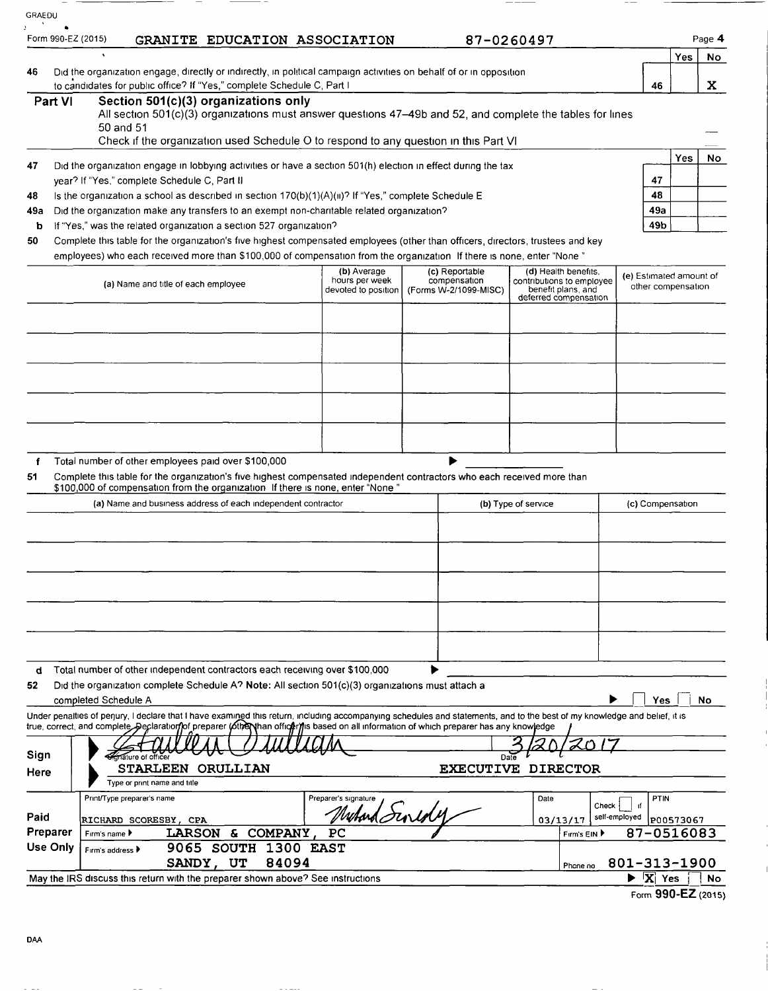| GRAEDU   |                                                                                                                                                                 |                                                                                                                                                                                                                                                                                                                         |                                       |                                       |                                                                          |                                          |                                               |        |
|----------|-----------------------------------------------------------------------------------------------------------------------------------------------------------------|-------------------------------------------------------------------------------------------------------------------------------------------------------------------------------------------------------------------------------------------------------------------------------------------------------------------------|---------------------------------------|---------------------------------------|--------------------------------------------------------------------------|------------------------------------------|-----------------------------------------------|--------|
|          | Form 990-EZ (2015)                                                                                                                                              | GRANITE EDUCATION ASSOCIATION                                                                                                                                                                                                                                                                                           |                                       |                                       | 87-0260497                                                               |                                          |                                               | Page 4 |
|          |                                                                                                                                                                 |                                                                                                                                                                                                                                                                                                                         |                                       |                                       |                                                                          |                                          | Yes.                                          | No     |
| 46       |                                                                                                                                                                 | Did the organization engage, directly or indirectly, in political campaign activities on behalf of or in opposition<br>to candidates for public office? If "Yes," complete Schedule C, Part I                                                                                                                           |                                       |                                       |                                                                          | 46                                       |                                               | X.     |
|          | Part VI                                                                                                                                                         | Section 501(c)(3) organizations only                                                                                                                                                                                                                                                                                    |                                       |                                       |                                                                          |                                          |                                               |        |
|          |                                                                                                                                                                 | All section 501(c)(3) organizations must answer questions 47-49b and 52, and complete the tables for lines                                                                                                                                                                                                              |                                       |                                       |                                                                          |                                          |                                               |        |
|          |                                                                                                                                                                 | 50 and 51<br>Check if the organization used Schedule O to respond to any question in this Part VI                                                                                                                                                                                                                       |                                       |                                       |                                                                          |                                          |                                               |        |
|          |                                                                                                                                                                 |                                                                                                                                                                                                                                                                                                                         |                                       |                                       |                                                                          |                                          | Yes                                           | No     |
| 47       |                                                                                                                                                                 | Did the organization engage in lobbying activities or have a section 501(h) election in effect during the tax                                                                                                                                                                                                           |                                       |                                       |                                                                          | 47                                       |                                               |        |
| 48       | year? If "Yes," complete Schedule C, Part II<br>48<br>Is the organization a school as described in section $170(b)(1)(A)(ii)^{2}$ If "Yes," complete Schedule E |                                                                                                                                                                                                                                                                                                                         |                                       |                                       |                                                                          |                                          |                                               |        |
| 49a      |                                                                                                                                                                 | Did the organization make any transfers to an exempt non-charitable related organization?                                                                                                                                                                                                                               |                                       |                                       |                                                                          | 49a                                      |                                               |        |
| b        |                                                                                                                                                                 | If "Yes," was the related organization a section 527 organization?                                                                                                                                                                                                                                                      |                                       |                                       |                                                                          | 49b                                      |                                               |        |
| 50       |                                                                                                                                                                 | Complete this table for the organization's five highest compensated employees (other than officers, directors, trustees and key                                                                                                                                                                                         |                                       |                                       |                                                                          |                                          |                                               |        |
|          |                                                                                                                                                                 | employees) who each received more than \$100,000 of compensation from the organization If there is none, enter "None"                                                                                                                                                                                                   | (b) Average                           | (c) Reportable                        | (d) Health benefits,                                                     |                                          |                                               |        |
|          |                                                                                                                                                                 | (a) Name and title of each employee                                                                                                                                                                                                                                                                                     | hours per week<br>devoted to position | compensation<br>(Forms W-2/1099-MISC) | contributions to employee<br>benefit plans, and<br>deferred compensation |                                          | (e) Estimated amount of<br>other compensation |        |
|          |                                                                                                                                                                 |                                                                                                                                                                                                                                                                                                                         |                                       |                                       |                                                                          |                                          |                                               |        |
|          |                                                                                                                                                                 |                                                                                                                                                                                                                                                                                                                         |                                       |                                       |                                                                          |                                          |                                               |        |
|          |                                                                                                                                                                 |                                                                                                                                                                                                                                                                                                                         |                                       |                                       |                                                                          |                                          |                                               |        |
|          |                                                                                                                                                                 |                                                                                                                                                                                                                                                                                                                         |                                       |                                       |                                                                          |                                          |                                               |        |
|          |                                                                                                                                                                 |                                                                                                                                                                                                                                                                                                                         |                                       |                                       |                                                                          |                                          |                                               |        |
| f        |                                                                                                                                                                 | Total number of other employees paid over \$100,000                                                                                                                                                                                                                                                                     |                                       |                                       |                                                                          |                                          |                                               |        |
| 51       |                                                                                                                                                                 | Complete this table for the organization's five highest compensated independent contractors who each received more than                                                                                                                                                                                                 |                                       |                                       |                                                                          |                                          |                                               |        |
|          |                                                                                                                                                                 | \$100,000 of compensation from the organization If there is none, enter "None"<br>(a) Name and business address of each independent contractor                                                                                                                                                                          |                                       |                                       | (b) Type of service                                                      | (c) Compensation                         |                                               |        |
|          |                                                                                                                                                                 |                                                                                                                                                                                                                                                                                                                         |                                       |                                       |                                                                          |                                          |                                               |        |
|          |                                                                                                                                                                 |                                                                                                                                                                                                                                                                                                                         |                                       |                                       |                                                                          |                                          |                                               |        |
|          |                                                                                                                                                                 |                                                                                                                                                                                                                                                                                                                         |                                       |                                       |                                                                          |                                          |                                               |        |
|          |                                                                                                                                                                 |                                                                                                                                                                                                                                                                                                                         |                                       |                                       |                                                                          |                                          |                                               |        |
|          |                                                                                                                                                                 |                                                                                                                                                                                                                                                                                                                         |                                       |                                       |                                                                          |                                          |                                               |        |
|          |                                                                                                                                                                 |                                                                                                                                                                                                                                                                                                                         |                                       |                                       |                                                                          |                                          |                                               |        |
|          |                                                                                                                                                                 |                                                                                                                                                                                                                                                                                                                         |                                       |                                       |                                                                          |                                          |                                               |        |
|          |                                                                                                                                                                 |                                                                                                                                                                                                                                                                                                                         |                                       |                                       |                                                                          |                                          |                                               |        |
| d        |                                                                                                                                                                 | Total number of other independent contractors each receiving over \$100,000                                                                                                                                                                                                                                             |                                       |                                       |                                                                          |                                          |                                               |        |
| 52       |                                                                                                                                                                 | Did the organization complete Schedule A? Note: All section 501(c)(3) organizations must attach a                                                                                                                                                                                                                       |                                       |                                       |                                                                          |                                          |                                               |        |
|          |                                                                                                                                                                 | completed Schedule A                                                                                                                                                                                                                                                                                                    |                                       |                                       |                                                                          | Yes                                      |                                               | No     |
|          |                                                                                                                                                                 | Under penalties of perjury, I declare that I have examined this return, including accompanying schedules and statements, and to the best of my knowledge and belief, it is<br>true, correct, and complete. Declaration of preparer (other than officer) is based on all information of which preparer has any knowledge |                                       |                                       |                                                                          |                                          |                                               |        |
|          |                                                                                                                                                                 |                                                                                                                                                                                                                                                                                                                         |                                       |                                       |                                                                          |                                          |                                               |        |
| Sign     |                                                                                                                                                                 | ature of office                                                                                                                                                                                                                                                                                                         |                                       |                                       |                                                                          |                                          |                                               |        |
| Here     |                                                                                                                                                                 | STARLEEN ORULLIAN                                                                                                                                                                                                                                                                                                       |                                       |                                       | <b>EXECUTIVE DIRECTOR</b>                                                |                                          |                                               |        |
|          |                                                                                                                                                                 | Type or print name and title                                                                                                                                                                                                                                                                                            |                                       |                                       |                                                                          |                                          |                                               |        |
| Paid     |                                                                                                                                                                 | Print/Type preparer's name                                                                                                                                                                                                                                                                                              | Preparer's signature<br>Muhard Sinidy |                                       | Date<br>Check                                                            | PTIN<br>ıf                               |                                               |        |
| Preparer |                                                                                                                                                                 | RICHARD SCORESBY, CPA<br>LARSON & COMPANY, PC<br>Firm's name ▶                                                                                                                                                                                                                                                          |                                       |                                       | 03/13/17<br>Firm's EIN ▶                                                 | self-employed<br>87-0516083              | P00573067                                     |        |
| Use Only |                                                                                                                                                                 | 9065 SOUTH 1300 EAST<br>Firm's address $\blacktriangleright$                                                                                                                                                                                                                                                            |                                       |                                       |                                                                          |                                          |                                               |        |
|          |                                                                                                                                                                 | 84094<br>SANDY, UT                                                                                                                                                                                                                                                                                                      |                                       |                                       | Phone no                                                                 | 801-313-1900                             |                                               |        |
|          |                                                                                                                                                                 | May the IRS discuss this return with the preparer shown above? See instructions                                                                                                                                                                                                                                         |                                       |                                       |                                                                          | $\blacktriangleright$ $\overline{X}$ Yes |                                               | No.    |
|          |                                                                                                                                                                 |                                                                                                                                                                                                                                                                                                                         |                                       |                                       |                                                                          | Form 990-EZ (2015)                       |                                               |        |

 $\overline{1}$ 

 $\sim$   $-$ 

 $\frac{1}{2} \left( \begin{array}{ccc} 1 & 0 & 0 \\ 0 & 1 & 0 \\ 0 & 0 & 0 \\ 0 & 0 & 0 \\ 0 & 0 & 0 \\ 0 & 0 & 0 \\ 0 & 0 & 0 \\ 0 & 0 & 0 \\ 0 & 0 & 0 \\ 0 & 0 & 0 \\ 0 & 0 & 0 \\ 0 & 0 & 0 & 0 \\ 0 & 0 & 0 & 0 \\ 0 & 0 & 0 & 0 \\ 0 & 0 & 0 & 0 & 0 \\ 0 & 0 & 0 & 0 & 0 \\ 0 & 0 & 0 & 0 & 0 \\ 0 & 0 & 0 & 0 & 0 \\ 0 & 0 & 0$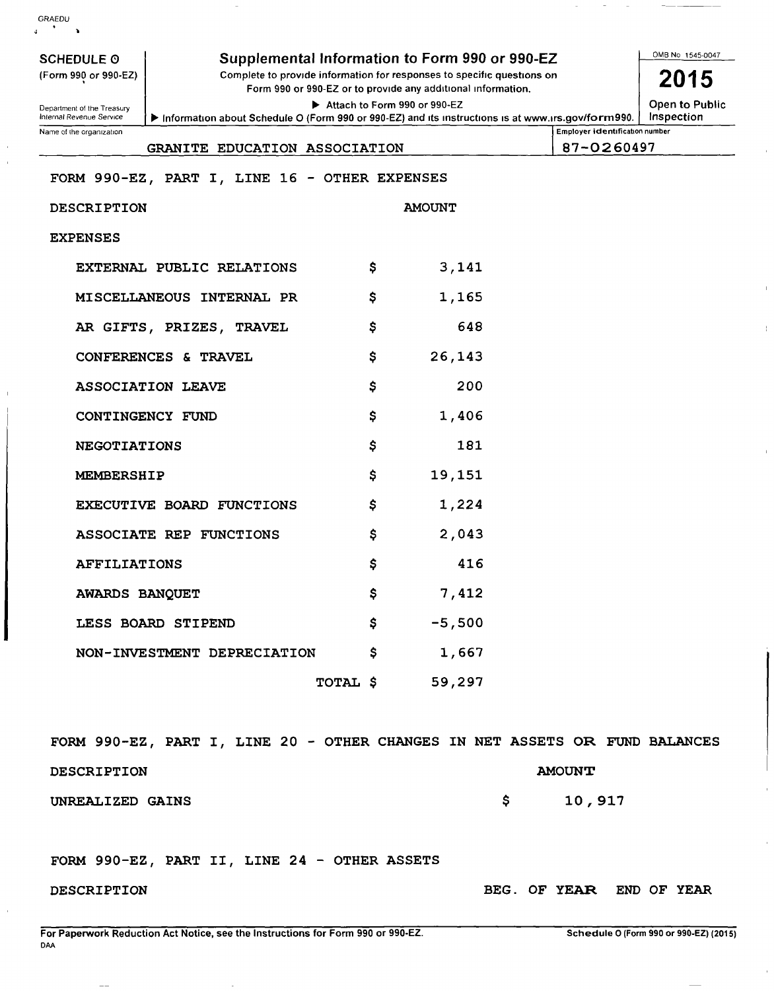| GRAEDU                                                                                                                                                                                                                                |                                               |                 |               |                          |  |  |  |  |  |
|---------------------------------------------------------------------------------------------------------------------------------------------------------------------------------------------------------------------------------------|-----------------------------------------------|-----------------|---------------|--------------------------|--|--|--|--|--|
| Supplemental Information to Form 990 or 990-EZ<br><b>SCHEDULE O</b><br>Complete to provide information for responses to specific questions on<br>(Form 990 or 990-EZ)<br>Form 990 or 990-EZ or to provide any additional information. |                                               |                 |               |                          |  |  |  |  |  |
| Open to Public<br>Attach to Form 990 or 990-EZ<br>Department of the Treasury<br>Inspection<br>Internal Revenue Service<br>Information about Schedule O (Form 990 or 990-EZ) and its instructions is at www.irs.gov/form990.           |                                               |                 |               |                          |  |  |  |  |  |
| Employer identification number<br>Name of the organization<br>87-0260497<br>GRANITE EDUCATION ASSOCIATION                                                                                                                             |                                               |                 |               |                          |  |  |  |  |  |
|                                                                                                                                                                                                                                       | FORM 990-EZ, PART I, LINE 16 - OTHER EXPENSES |                 |               |                          |  |  |  |  |  |
| DESCRIPTION                                                                                                                                                                                                                           |                                               |                 | <b>AMOUNT</b> |                          |  |  |  |  |  |
| <b>EXPENSES</b>                                                                                                                                                                                                                       |                                               |                 |               |                          |  |  |  |  |  |
|                                                                                                                                                                                                                                       | EXTERNAL PUBLIC RELATIONS                     | Ş               | 3,141         |                          |  |  |  |  |  |
|                                                                                                                                                                                                                                       | MISCELLANEOUS INTERNAL PR                     | Ş               | 1,165         |                          |  |  |  |  |  |
|                                                                                                                                                                                                                                       | AR GIFTS, PRIZES, TRAVEL                      | \$              | 648           |                          |  |  |  |  |  |
|                                                                                                                                                                                                                                       | CONFERENCES & TRAVEL                          | \$              | 26,143        |                          |  |  |  |  |  |
|                                                                                                                                                                                                                                       | <b>ASSOCIATION LEAVE</b>                      | \$              | 200           |                          |  |  |  |  |  |
|                                                                                                                                                                                                                                       | CONTINGENCY FUND                              | \$              | 1,406         |                          |  |  |  |  |  |
| <b>NEGOTIATIONS</b>                                                                                                                                                                                                                   |                                               | Ş               | 181           |                          |  |  |  |  |  |
| <b>MEMBERSHIP</b>                                                                                                                                                                                                                     |                                               | Ş               | 19,151        |                          |  |  |  |  |  |
|                                                                                                                                                                                                                                       | EXECUTIVE BOARD FUNCTIONS                     | Ş               | 1,224         |                          |  |  |  |  |  |
|                                                                                                                                                                                                                                       | ASSOCIATE REP FUNCTIONS                       | Ş               | 2,043         |                          |  |  |  |  |  |
| <b>AFFILIATIONS</b>                                                                                                                                                                                                                   |                                               | \$              | 416           |                          |  |  |  |  |  |
| <b>AWARDS BANQUET</b>                                                                                                                                                                                                                 |                                               | \$.             | 7,412         |                          |  |  |  |  |  |
|                                                                                                                                                                                                                                       | LESS BOARD STIPEND                            | \$              | $-5,500$      |                          |  |  |  |  |  |
|                                                                                                                                                                                                                                       | NON-INVESTMENT DEPRECIATION \$                |                 | 1,667         |                          |  |  |  |  |  |
|                                                                                                                                                                                                                                       |                                               | TOTAL \$ 59,297 |               |                          |  |  |  |  |  |
| FORM 990-EZ, PART I, LINE 20 - OTHER CHANGES IN NET ASSETS OR FUND BALANCES                                                                                                                                                           |                                               |                 |               |                          |  |  |  |  |  |
| <b>DESCRIPTION</b>                                                                                                                                                                                                                    |                                               |                 |               | <b>AMOUNT</b>            |  |  |  |  |  |
| UNREALIZED GAINS                                                                                                                                                                                                                      |                                               |                 | \$            | 10,917                   |  |  |  |  |  |
|                                                                                                                                                                                                                                       | FORM 990-EZ, PART II, LINE 24 - OTHER ASSETS  |                 |               |                          |  |  |  |  |  |
| DESCRIPTION                                                                                                                                                                                                                           |                                               |                 |               | BEG. OF YEAR END OF YEAR |  |  |  |  |  |

 $\bar{1}$ 

 $\bar{1}$ 

 $\overline{\phantom{a}}$ 

 $\mathcal{A}$ 

í.

 $\hat{\mathbf{r}}$ 

 $\bar{\rm I}$ 

ÿ.